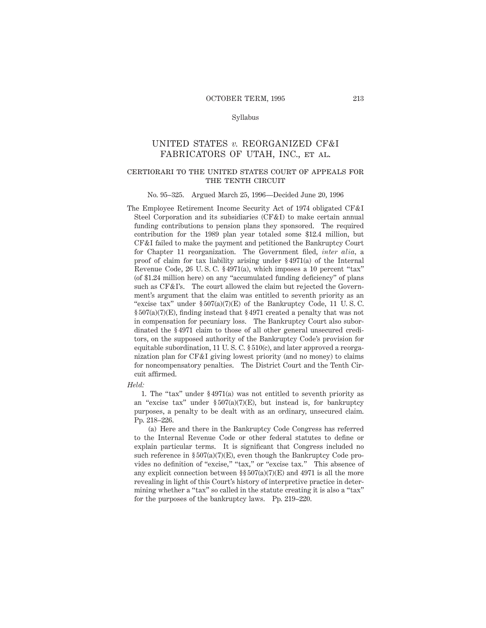#### Syllabus

# UNITED STATES *v.* REORGANIZED CF&I FABRICATORS OF UTAH, INC., et al.

#### certiorari to the united states court of appeals forTHE TENTH CIRCUIT

#### No. 95–325. Argued March 25, 1996—Decided June 20, 1996

The Employee Retirement Income Security Act of 1974 obligated CF&I Steel Corporation and its subsidiaries (CF&I) to make certain annual funding contributions to pension plans they sponsored. The required contribution for the 1989 plan year totaled some \$12.4 million, but CF&I failed to make the payment and petitioned the Bankruptcy Court for Chapter 11 reorganization. The Government filed, *inter alia,* a proof of claim for tax liability arising under § 4971(a) of the Internal Revenue Code, 26 U. S. C. § 4971(a), which imposes a 10 percent "tax" (of \$1.24 million here) on any "accumulated funding deficiency" of plans such as CF&I's. The court allowed the claim but rejected the Government's argument that the claim was entitled to seventh priority as an "excise tax" under § 507(a)(7)(E) of the Bankruptcy Code, 11 U. S. C.  $\S 507(a)(7)(E)$ , finding instead that  $\S 4971$  created a penalty that was not in compensation for pecuniary loss. The Bankruptcy Court also subordinated the § 4971 claim to those of all other general unsecured creditors, on the supposed authority of the Bankruptcy Code's provision for equitable subordination, 11 U. S. C. § 510(c), and later approved a reorganization plan for CF&I giving lowest priority (and no money) to claims for noncompensatory penalties. The District Court and the Tenth Circuit affirmed.

#### *Held:*

1. The "tax" under § 4971(a) was not entitled to seventh priority as an "excise tax" under  $\S 507(a)(7)(E)$ , but instead is, for bankruptcy purposes, a penalty to be dealt with as an ordinary, unsecured claim. Pp. 218–226.

(a) Here and there in the Bankruptcy Code Congress has referred to the Internal Revenue Code or other federal statutes to define or explain particular terms. It is significant that Congress included no such reference in  $\S 507(a)(7)(E)$ , even though the Bankruptcy Code provides no definition of "excise," "tax," or "excise tax." This absence of any explicit connection between  $\S$ § 507(a)(7)(E) and 4971 is all the more revealing in light of this Court's history of interpretive practice in determining whether a "tax" so called in the statute creating it is also a "tax" for the purposes of the bankruptcy laws. Pp. 219–220.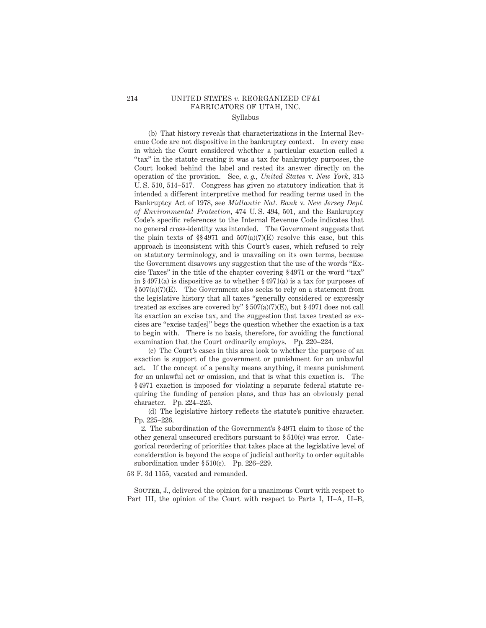## 214 UNITED STATES *v.* REORGANIZED CF&I FABRICATORS OF UTAH, INC. Syllabus

(b) That history reveals that characterizations in the Internal Revenue Code are not dispositive in the bankruptcy context. In every case in which the Court considered whether a particular exaction called a "tax" in the statute creating it was a tax for bankruptcy purposes, the Court looked behind the label and rested its answer directly on the operation of the provision. See, *e. g., United States* v. *New York,* 315 U. S. 510, 514–517. Congress has given no statutory indication that it intended a different interpretive method for reading terms used in the Bankruptcy Act of 1978, see *Midlantic Nat. Bank* v. *New Jersey Dept. of Environmental Protection,* 474 U. S. 494, 501, and the Bankruptcy Code's specific references to the Internal Revenue Code indicates that no general cross-identity was intended. The Government suggests that the plain texts of  $\S § 4971$  and  $507(a)(7)(E)$  resolve this case, but this approach is inconsistent with this Court's cases, which refused to rely on statutory terminology, and is unavailing on its own terms, because the Government disavows any suggestion that the use of the words "Excise Taxes" in the title of the chapter covering § 4971 or the word "tax" in § 4971(a) is dispositive as to whether § 4971(a) is a tax for purposes of § 507(a)(7)(E). The Government also seeks to rely on a statement from the legislative history that all taxes "generally considered or expressly treated as excises are covered by"  $\S 507(a)(7)(E)$ , but  $\S 4971$  does not call its exaction an excise tax, and the suggestion that taxes treated as excises are "excise tax[es]" begs the question whether the exaction is a tax to begin with. There is no basis, therefore, for avoiding the functional examination that the Court ordinarily employs. Pp. 220–224.

(c) The Court's cases in this area look to whether the purpose of an exaction is support of the government or punishment for an unlawful act. If the concept of a penalty means anything, it means punishment for an unlawful act or omission, and that is what this exaction is. The § 4971 exaction is imposed for violating a separate federal statute requiring the funding of pension plans, and thus has an obviously penal character. Pp. 224–225.

(d) The legislative history reflects the statute's punitive character. Pp. 225–226.

2. The subordination of the Government's § 4971 claim to those of the other general unsecured creditors pursuant to § 510(c) was error. Categorical reordering of priorities that takes place at the legislative level of consideration is beyond the scope of judicial authority to order equitable subordination under § 510(c). Pp. 226–229.

53 F. 3d 1155, vacated and remanded.

SOUTER, J., delivered the opinion for a unanimous Court with respect to Part III, the opinion of the Court with respect to Parts I, II–A, II–B,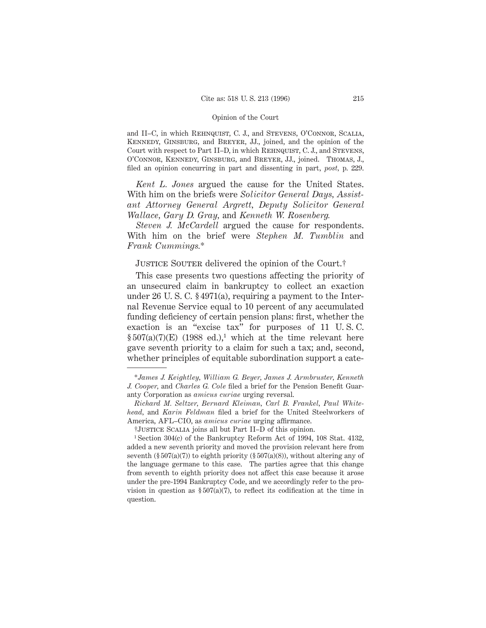and II–C, in which REHNQUIST, C. J., and STEVENS, O'CONNOR, SCALIA, Kennedy, Ginsburg, and Breyer, JJ., joined, and the opinion of the Court with respect to Part II–D, in which Rehnquist, C. J., and Stevens, O'Connor, Kennedy, Ginsburg, and Breyer, JJ., joined. Thomas, J., filed an opinion concurring in part and dissenting in part, *post,* p. 229.

*Kent L. Jones* argued the cause for the United States. With him on the briefs were *Solicitor General Days, Assistant Attorney General Argrett, Deputy Solicitor General Wallace, Gary D. Gray,* and *Kenneth W. Rosenberg.*

*Steven J. McCardell* argued the cause for respondents. With him on the brief were *Stephen M. Tumblin* and *Frank Cummings.*\*

# JUSTICE SOUTER delivered the opinion of the Court.<sup>†</sup>

This case presents two questions affecting the priority of an unsecured claim in bankruptcy to collect an exaction under 26 U. S. C. § 4971(a), requiring a payment to the Internal Revenue Service equal to 10 percent of any accumulated funding deficiency of certain pension plans: first, whether the exaction is an "excise tax" for purposes of 11 U. S. C. §  $507(a)(7)(E)$  (1988 ed.),<sup>1</sup> which at the time relevant here gave seventh priority to a claim for such a tax; and, second, whether principles of equitable subordination support a cate-

<sup>\*</sup>*James J. Keightley, William G. Beyer, James J. Armbruster, Kenneth J. Cooper,* and *Charles G. Cole* filed a brief for the Pension Benefit Guaranty Corporation as *amicus curiae* urging reversal.

*Richard M. Seltzer, Bernard Kleiman, Carl B. Frankel, Paul Whitehead,* and *Karin Feldman* filed a brief for the United Steelworkers of America, AFL–CIO, as *amicus curiae* urging affirmance.

<sup>†</sup>Justice Scalia joins all but Part II–D of this opinion.

<sup>1</sup> Section 304(c) of the Bankruptcy Reform Act of 1994, 108 Stat. 4132, added a new seventh priority and moved the provision relevant here from seventh  $(\S 507(a)(7))$  to eighth priority  $(\S 507(a)(8))$ , without altering any of the language germane to this case. The parties agree that this change from seventh to eighth priority does not affect this case because it arose under the pre-1994 Bankruptcy Code, and we accordingly refer to the provision in question as  $\S 507(a)(7)$ , to reflect its codification at the time in question.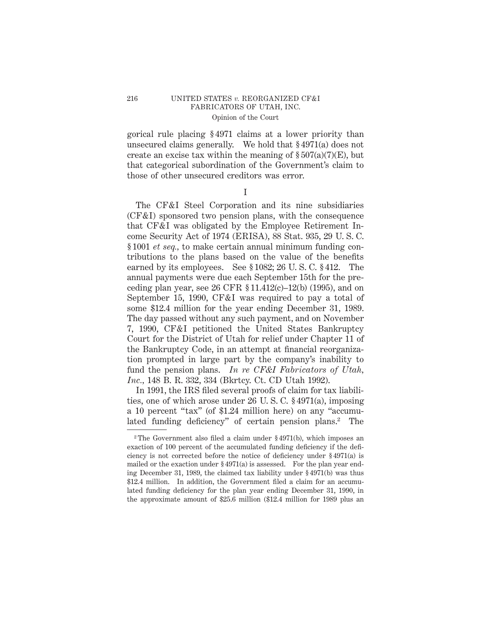gorical rule placing § 4971 claims at a lower priority than unsecured claims generally. We hold that § 4971(a) does not create an excise tax within the meaning of  $\S 507(a)(7)(E)$ , but that categorical subordination of the Government's claim to those of other unsecured creditors was error.

I

The CF&I Steel Corporation and its nine subsidiaries (CF&I) sponsored two pension plans, with the consequence that CF&I was obligated by the Employee Retirement Income Security Act of 1974 (ERISA), 88 Stat. 935, 29 U. S. C. § 1001 *et seq.,* to make certain annual minimum funding contributions to the plans based on the value of the benefits earned by its employees. See § 1082; 26 U. S. C. § 412. The annual payments were due each September 15th for the preceding plan year, see 26 CFR § 11.412(c)–12(b) (1995), and on September 15, 1990, CF&I was required to pay a total of some \$12.4 million for the year ending December 31, 1989. The day passed without any such payment, and on November 7, 1990, CF&I petitioned the United States Bankruptcy Court for the District of Utah for relief under Chapter 11 of the Bankruptcy Code, in an attempt at financial reorganization prompted in large part by the company's inability to fund the pension plans. *In re CF&I Fabricators of Utah, Inc.,* 148 B. R. 332, 334 (Bkrtcy. Ct. CD Utah 1992).

In 1991, the IRS filed several proofs of claim for tax liabilities, one of which arose under 26 U. S. C. § 4971(a), imposing a 10 percent "tax" (of \$1.24 million here) on any "accumulated funding deficiency" of certain pension plans.<sup>2</sup> The

<sup>&</sup>lt;sup>2</sup> The Government also filed a claim under  $\S 4971(b)$ , which imposes an exaction of 100 percent of the accumulated funding deficiency if the deficiency is not corrected before the notice of deficiency under § 4971(a) is mailed or the exaction under § 4971(a) is assessed. For the plan year ending December 31, 1989, the claimed tax liability under § 4971(b) was thus \$12.4 million. In addition, the Government filed a claim for an accumulated funding deficiency for the plan year ending December 31, 1990, in the approximate amount of \$25.6 million (\$12.4 million for 1989 plus an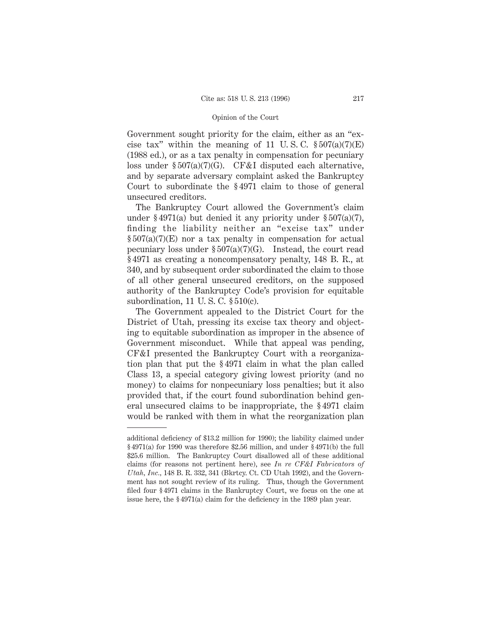Government sought priority for the claim, either as an "excise tax" within the meaning of 11 U.S.C.  $\S 507(a)(7)(E)$ (1988 ed.), or as a tax penalty in compensation for pecuniary loss under § 507(a)(7)(G). CF&I disputed each alternative, and by separate adversary complaint asked the Bankruptcy Court to subordinate the § 4971 claim to those of general unsecured creditors.

The Bankruptcy Court allowed the Government's claim under § 4971(a) but denied it any priority under § 507(a)(7), finding the liability neither an "excise tax" under  $\S 507(a)(7)(E)$  nor a tax penalty in compensation for actual pecuniary loss under  $\S 507(a)(7)(G)$ . Instead, the court read § 4971 as creating a noncompensatory penalty, 148 B. R., at 340, and by subsequent order subordinated the claim to those of all other general unsecured creditors, on the supposed authority of the Bankruptcy Code's provision for equitable subordination, 11 U. S. C. § 510(c).

The Government appealed to the District Court for the District of Utah, pressing its excise tax theory and objecting to equitable subordination as improper in the absence of Government misconduct. While that appeal was pending, CF&I presented the Bankruptcy Court with a reorganization plan that put the § 4971 claim in what the plan called Class 13, a special category giving lowest priority (and no money) to claims for nonpecuniary loss penalties; but it also provided that, if the court found subordination behind general unsecured claims to be inappropriate, the § 4971 claim would be ranked with them in what the reorganization plan

additional deficiency of \$13.2 million for 1990); the liability claimed under § 4971(a) for 1990 was therefore \$2.56 million, and under § 4971(b) the full \$25.6 million. The Bankruptcy Court disallowed all of these additional claims (for reasons not pertinent here), see *In re CF&I Fabricators of Utah, Inc.,* 148 B. R. 332, 341 (Bkrtcy. Ct. CD Utah 1992), and the Government has not sought review of its ruling. Thus, though the Government filed four § 4971 claims in the Bankruptcy Court, we focus on the one at issue here, the § 4971(a) claim for the deficiency in the 1989 plan year.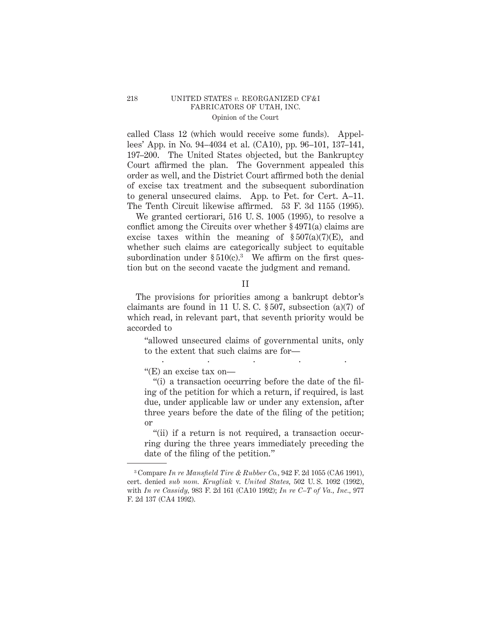called Class 12 (which would receive some funds). Appellees' App. in No. 94–4034 et al. (CA10), pp. 96–101, 137–141, 197–200. The United States objected, but the Bankruptcy Court affirmed the plan. The Government appealed this order as well, and the District Court affirmed both the denial of excise tax treatment and the subsequent subordination to general unsecured claims. App. to Pet. for Cert. A–11. The Tenth Circuit likewise affirmed. 53 F. 3d 1155 (1995).

We granted certiorari, 516 U. S. 1005 (1995), to resolve a conflict among the Circuits over whether § 4971(a) claims are excise taxes within the meaning of  $\S 507(a)(7)(E)$ , and whether such claims are categorically subject to equitable subordination under  $$510(c).$ <sup>3</sup> We affirm on the first question but on the second vacate the judgment and remand.

#### II

The provisions for priorities among a bankrupt debtor's claimants are found in 11 U.S.C.  $\S 507$ , subsection (a)(7) of which read, in relevant part, that seventh priority would be accorded to

"allowed unsecured claims of governmental units, only to the extent that such claims are for— .....

"(E) an excise tax on—

"(i) a transaction occurring before the date of the filing of the petition for which a return, if required, is last due, under applicable law or under any extension, after three years before the date of the filing of the petition; or

"(ii) if a return is not required, a transaction occurring during the three years immediately preceding the date of the filing of the petition."

<sup>3</sup> Compare *In re Mansfield Tire & Rubber Co.,* 942 F. 2d 1055 (CA6 1991), cert. denied *sub nom. Krugliak* v. *United States,* 502 U. S. 1092 (1992), with *In re Cassidy,* 983 F. 2d 161 (CA10 1992); *In re C–T of Va., Inc.,* 977 F. 2d 137 (CA4 1992).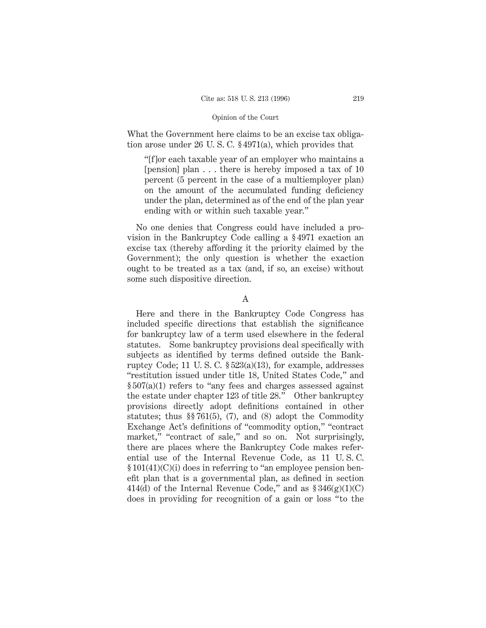What the Government here claims to be an excise tax obligation arose under 26 U. S. C. § 4971(a), which provides that

"[f]or each taxable year of an employer who maintains a [pension] plan... there is hereby imposed a tax of 10 percent (5 percent in the case of a multiemployer plan) on the amount of the accumulated funding deficiency under the plan, determined as of the end of the plan year ending with or within such taxable year."

No one denies that Congress could have included a provision in the Bankruptcy Code calling a § 4971 exaction an excise tax (thereby affording it the priority claimed by the Government); the only question is whether the exaction ought to be treated as a tax (and, if so, an excise) without some such dispositive direction.

#### A

Here and there in the Bankruptcy Code Congress has included specific directions that establish the significance for bankruptcy law of a term used elsewhere in the federal statutes. Some bankruptcy provisions deal specifically with subjects as identified by terms defined outside the Bankruptcy Code; 11 U. S. C. § 523(a)(13), for example, addresses "restitution issued under title 18, United States Code," and § 507(a)(1) refers to "any fees and charges assessed against the estate under chapter 123 of title 28." Other bankruptcy provisions directly adopt definitions contained in other statutes; thus §§ 761(5), (7), and (8) adopt the Commodity Exchange Act's definitions of "commodity option," "contract market," "contract of sale," and so on. Not surprisingly, there are places where the Bankruptcy Code makes referential use of the Internal Revenue Code, as 11 U. S. C. § 101(41)(C)(i) does in referring to "an employee pension benefit plan that is a governmental plan, as defined in section 414(d) of the Internal Revenue Code," and as  $$346(g)(1)(C)$ does in providing for recognition of a gain or loss "to the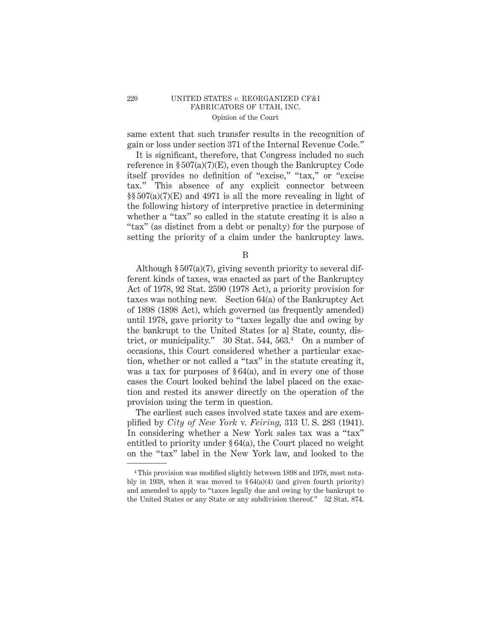same extent that such transfer results in the recognition of gain or loss under section 371 of the Internal Revenue Code."

It is significant, therefore, that Congress included no such reference in  $\S 507(a)(7)(E)$ , even though the Bankruptcy Code itself provides no definition of "excise," "tax," or "excise tax." This absence of any explicit connector between  $\S$ §507(a)(7)(E) and 4971 is all the more revealing in light of the following history of interpretive practice in determining whether a "tax" so called in the statute creating it is also a "tax" (as distinct from a debt or penalty) for the purpose of setting the priority of a claim under the bankruptcy laws.

B

Although § 507(a)(7), giving seventh priority to several different kinds of taxes, was enacted as part of the Bankruptcy Act of 1978, 92 Stat. 2590 (1978 Act), a priority provision for taxes was nothing new. Section 64(a) of the Bankruptcy Act of 1898 (1898 Act), which governed (as frequently amended) until 1978, gave priority to "taxes legally due and owing by the bankrupt to the United States [or a] State, county, district, or municipality." 30 Stat. 544, 563.<sup>4</sup> On a number of occasions, this Court considered whether a particular exaction, whether or not called a "tax" in the statute creating it, was a tax for purposes of  $\S 64(a)$ , and in every one of those cases the Court looked behind the label placed on the exaction and rested its answer directly on the operation of the provision using the term in question.

The earliest such cases involved state taxes and are exemplified by *City of New York* v. *Feiring,* 313 U. S. 283 (1941). In considering whether a New York sales tax was a "tax" entitled to priority under § 64(a), the Court placed no weight on the "tax" label in the New York law, and looked to the

<sup>4</sup> This provision was modified slightly between 1898 and 1978, most notably in 1938, when it was moved to  $\S 64(a)(4)$  (and given fourth priority) and amended to apply to "taxes legally due and owing by the bankrupt to the United States or any State or any subdivision thereof." 52 Stat. 874.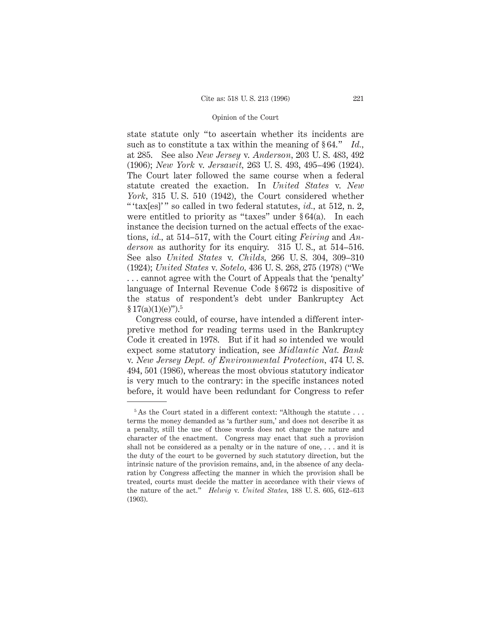state statute only "to ascertain whether its incidents are such as to constitute a tax within the meaning of § 64." *Id.,* at 285. See also *New Jersey* v. *Anderson,* 203 U. S. 483, 492 (1906); *New York* v. *Jersawit,* 263 U. S. 493, 495–496 (1924). The Court later followed the same course when a federal statute created the exaction. In *United States* v. *New York,* 315 U. S. 510 (1942), the Court considered whether " 'tax[es]' " so called in two federal statutes, *id.*, at 512, n. 2, were entitled to priority as "taxes" under  $§ 64(a)$ . In each instance the decision turned on the actual effects of the exactions, *id.,* at 514–517, with the Court citing *Feiring* and *Anderson* as authority for its enquiry. 315 U. S., at 514–516. See also *United States* v. *Childs,* 266 U. S. 304, 309–310 (1924); *United States* v. *Sotelo,* 436 U. S. 268, 275 (1978) ("We . . . cannot agree with the Court of Appeals that the 'penalty' language of Internal Revenue Code § 6672 is dispositive of the status of respondent's debt under Bankruptcy Act  $$17(a)(1)(e)$ ").<sup>5</sup>

Congress could, of course, have intended a different interpretive method for reading terms used in the Bankruptcy Code it created in 1978. But if it had so intended we would expect some statutory indication, see *Midlantic Nat. Bank* v. *New Jersey Dept. of Environmental Protection,* 474 U. S. 494, 501 (1986), whereas the most obvious statutory indicator is very much to the contrary: in the specific instances noted before, it would have been redundant for Congress to refer

 $5$ As the Court stated in a different context: "Although the statute  $\dots$ terms the money demanded as 'a further sum,' and does not describe it as a penalty, still the use of those words does not change the nature and character of the enactment. Congress may enact that such a provision shall not be considered as a penalty or in the nature of one, . . . and it is the duty of the court to be governed by such statutory direction, but the intrinsic nature of the provision remains, and, in the absence of any declaration by Congress affecting the manner in which the provision shall be treated, courts must decide the matter in accordance with their views of the nature of the act." *Helwig* v. *United States,* 188 U. S. 605, 612–613 (1903).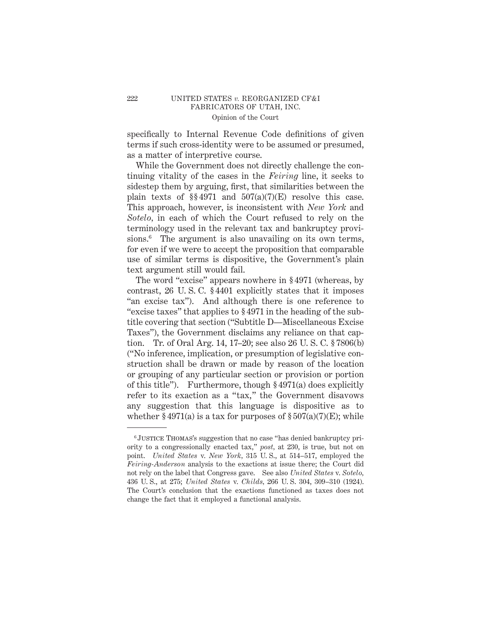specifically to Internal Revenue Code definitions of given terms if such cross-identity were to be assumed or presumed, as a matter of interpretive course.

While the Government does not directly challenge the continuing vitality of the cases in the *Feiring* line, it seeks to sidestep them by arguing, first, that similarities between the plain texts of  $\S 4971$  and  $507(a)(7)(E)$  resolve this case. This approach, however, is inconsistent with *New York* and *Sotelo,* in each of which the Court refused to rely on the terminology used in the relevant tax and bankruptcy provisions.<sup>6</sup> The argument is also unavailing on its own terms, for even if we were to accept the proposition that comparable use of similar terms is dispositive, the Government's plain text argument still would fail.

The word "excise" appears nowhere in § 4971 (whereas, by contrast, 26 U. S. C. § 4401 explicitly states that it imposes "an excise tax"). And although there is one reference to "excise taxes" that applies to § 4971 in the heading of the subtitle covering that section ("Subtitle D—Miscellaneous Excise Taxes"), the Government disclaims any reliance on that caption. Tr. of Oral Arg. 14, 17–20; see also 26 U. S. C. § 7806(b) ("No inference, implication, or presumption of legislative construction shall be drawn or made by reason of the location or grouping of any particular section or provision or portion of this title"). Furthermore, though § 4971(a) does explicitly refer to its exaction as a "tax," the Government disavows any suggestion that this language is dispositive as to whether  $\S 4971(a)$  is a tax for purposes of  $\S 507(a)(7)(E)$ ; while

<sup>6</sup> Justice Thomas's suggestion that no case "has denied bankruptcy priority to a congressionally enacted tax," *post,* at 230, is true, but not on point. *United States* v. *New York,* 315 U. S., at 514–517, employed the *Feiring-Anderson* analysis to the exactions at issue there; the Court did not rely on the label that Congress gave. See also *United States* v. *Sotelo,* 436 U. S., at 275; *United States* v. *Childs,* 266 U. S. 304, 309–310 (1924). The Court's conclusion that the exactions functioned as taxes does not change the fact that it employed a functional analysis.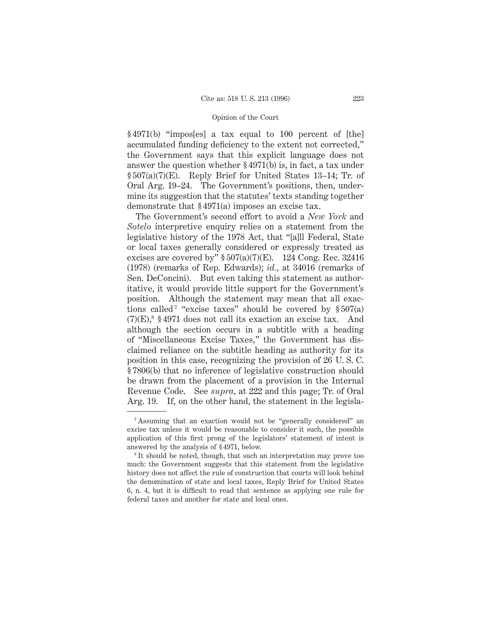§ 4971(b) "impos[es] a tax equal to 100 percent of [the] accumulated funding deficiency to the extent not corrected," the Government says that this explicit language does not answer the question whether § 4971(b) is, in fact, a tax under § 507(a)(7)(E). Reply Brief for United States 13–14; Tr. of Oral Arg. 19–24. The Government's positions, then, undermine its suggestion that the statutes' texts standing together demonstrate that § 4971(a) imposes an excise tax.

The Government's second effort to avoid a *New York* and *Sotelo* interpretive enquiry relies on a statement from the legislative history of the 1978 Act, that "[a]ll Federal, State or local taxes generally considered or expressly treated as excises are covered by"  $$507(a)(7)(E)$ . 124 Cong. Rec. 32416 (1978) (remarks of Rep. Edwards); *id.,* at 34016 (remarks of Sen. DeConcini). But even taking this statement as authoritative, it would provide little support for the Government's position. Although the statement may mean that all exactions called<sup>7</sup> "excise taxes" should be covered by  $$507(a)$  $(7)(E)$ ,<sup>8</sup> § 4971 does not call its exaction an excise tax. And although the section occurs in a subtitle with a heading of "Miscellaneous Excise Taxes," the Government has disclaimed reliance on the subtitle heading as authority for its position in this case, recognizing the provision of 26 U. S. C. § 7806(b) that no inference of legislative construction should be drawn from the placement of a provision in the Internal Revenue Code. See *supra,* at 222 and this page; Tr. of Oral Arg. 19. If, on the other hand, the statement in the legisla-

<sup>7</sup> Assuming that an exaction would not be "generally considered" an excise tax unless it would be reasonable to consider it such, the possible application of this first prong of the legislators' statement of intent is answered by the analysis of § 4971, below.

<sup>8</sup> It should be noted, though, that such an interpretation may prove too much: the Government suggests that this statement from the legislative history does not affect the rule of construction that courts will look behind the denomination of state and local taxes, Reply Brief for United States 6, n. 4, but it is difficult to read that sentence as applying one rule for federal taxes and another for state and local ones.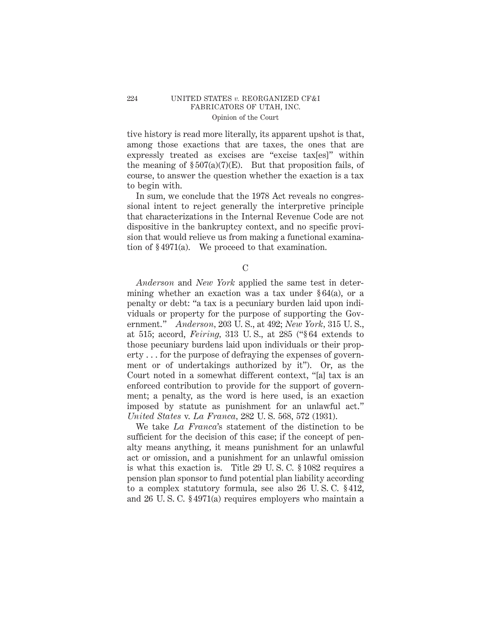tive history is read more literally, its apparent upshot is that, among those exactions that are taxes, the ones that are expressly treated as excises are "excise tax[es]" within the meaning of  $\S 507(a)(7)(E)$ . But that proposition fails, of course, to answer the question whether the exaction is a tax to begin with.

In sum, we conclude that the 1978 Act reveals no congressional intent to reject generally the interpretive principle that characterizations in the Internal Revenue Code are not dispositive in the bankruptcy context, and no specific provision that would relieve us from making a functional examination of § 4971(a). We proceed to that examination.

 $\mathcal{C}$ 

*Anderson* and *New York* applied the same test in determining whether an exaction was a tax under § 64(a), or a penalty or debt: "a tax is a pecuniary burden laid upon individuals or property for the purpose of supporting the Government." *Anderson,* 203 U. S., at 492; *New York,* 315 U. S., at 515; accord, *Feiring,* 313 U. S., at 285 ("§ 64 extends to those pecuniary burdens laid upon individuals or their property . . . for the purpose of defraying the expenses of government or of undertakings authorized by it"). Or, as the Court noted in a somewhat different context, "[a] tax is an enforced contribution to provide for the support of government; a penalty, as the word is here used, is an exaction imposed by statute as punishment for an unlawful act." *United States* v. *La Franca,* 282 U. S. 568, 572 (1931).

We take *La Franca*'s statement of the distinction to be sufficient for the decision of this case; if the concept of penalty means anything, it means punishment for an unlawful act or omission, and a punishment for an unlawful omission is what this exaction is. Title 29 U. S. C. § 1082 requires a pension plan sponsor to fund potential plan liability according to a complex statutory formula, see also 26 U. S. C. § 412, and 26 U. S. C. § 4971(a) requires employers who maintain a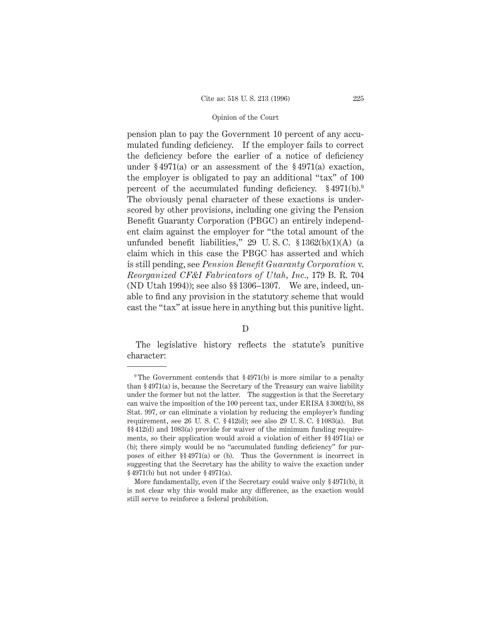pension plan to pay the Government 10 percent of any accumulated funding deficiency. If the employer fails to correct the deficiency before the earlier of a notice of deficiency under § 4971(a) or an assessment of the § 4971(a) exaction, the employer is obligated to pay an additional "tax" of 100 percent of the accumulated funding deficiency.  $\S 4971(b)$ . The obviously penal character of these exactions is underscored by other provisions, including one giving the Pension Benefit Guaranty Corporation (PBGC) an entirely independent claim against the employer for "the total amount of the unfunded benefit liabilities," 29 U. S. C. § 1362(b)(1)(A) (a claim which in this case the PBGC has asserted and which is still pending, see *Pension Benefit Guaranty Corporation* v. *Reorganized CF&I Fabricators of Utah, Inc.,* 179 B. R. 704 (ND Utah 1994)); see also §§ 1306–1307. We are, indeed, unable to find any provision in the statutory scheme that would cast the "tax" at issue here in anything but this punitive light.

#### D

The legislative history reflects the statute's punitive character:

<sup>&</sup>lt;sup>9</sup> The Government contends that  $\S 4971(b)$  is more similar to a penalty than § 4971(a) is, because the Secretary of the Treasury can waive liability under the former but not the latter. The suggestion is that the Secretary can waive the imposition of the 100 percent tax, under ERISA § 3002(b), 88 Stat. 997, or can eliminate a violation by reducing the employer's funding requirement, see 26 U. S. C. § 412(d); see also 29 U. S. C. § 1083(a). But §§ 412(d) and 1083(a) provide for waiver of the minimum funding requirements, so their application would avoid a violation of either §§ 4971(a) or (b); there simply would be no "accumulated funding deficiency" for purposes of either §§ 4971(a) or (b). Thus the Government is incorrect in suggesting that the Secretary has the ability to waive the exaction under § 4971(b) but not under § 4971(a).

More fundamentally, even if the Secretary could waive only § 4971(b), it is not clear why this would make any difference, as the exaction would still serve to reinforce a federal prohibition.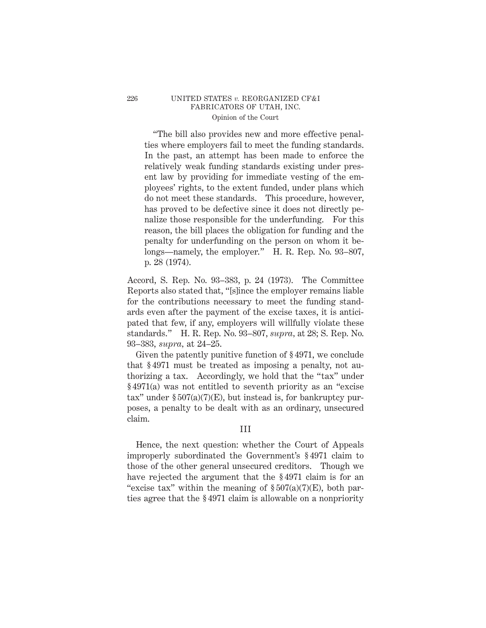"The bill also provides new and more effective penalties where employers fail to meet the funding standards. In the past, an attempt has been made to enforce the relatively weak funding standards existing under present law by providing for immediate vesting of the employees' rights, to the extent funded, under plans which do not meet these standards. This procedure, however, has proved to be defective since it does not directly penalize those responsible for the underfunding. For this reason, the bill places the obligation for funding and the penalty for underfunding on the person on whom it belongs—namely, the employer." H. R. Rep. No. 93–807, p. 28 (1974).

Accord, S. Rep. No. 93–383, p. 24 (1973). The Committee Reports also stated that, "[s]ince the employer remains liable for the contributions necessary to meet the funding standards even after the payment of the excise taxes, it is anticipated that few, if any, employers will willfully violate these standards." H. R. Rep. No. 93–807, *supra,* at 28; S. Rep. No. 93–383, *supra,* at 24–25.

Given the patently punitive function of § 4971, we conclude that § 4971 must be treated as imposing a penalty, not authorizing a tax. Accordingly, we hold that the "tax" under § 4971(a) was not entitled to seventh priority as an "excise tax" under  $\S 507(a)(7)(E)$ , but instead is, for bankruptcy purposes, a penalty to be dealt with as an ordinary, unsecured claim.

## III

Hence, the next question: whether the Court of Appeals improperly subordinated the Government's § 4971 claim to those of the other general unsecured creditors. Though we have rejected the argument that the § 4971 claim is for an "excise tax" within the meaning of  $\S 507(a)(7)$ (E), both parties agree that the § 4971 claim is allowable on a nonpriority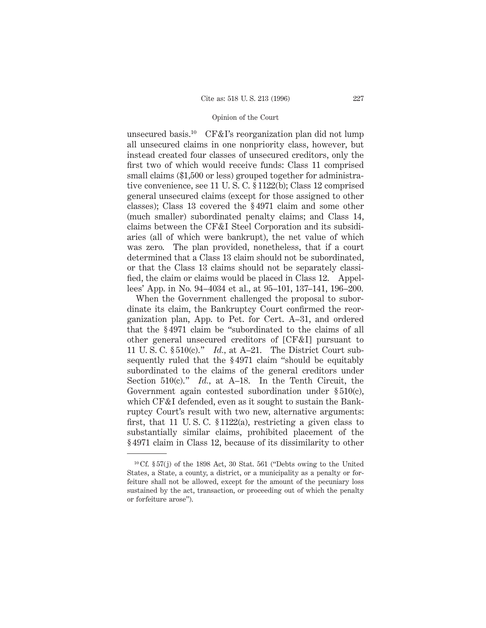unsecured basis.10 CF&I's reorganization plan did not lump all unsecured claims in one nonpriority class, however, but instead created four classes of unsecured creditors, only the first two of which would receive funds: Class 11 comprised small claims (\$1,500 or less) grouped together for administrative convenience, see 11 U. S. C. § 1122(b); Class 12 comprised general unsecured claims (except for those assigned to other classes); Class 13 covered the § 4971 claim and some other (much smaller) subordinated penalty claims; and Class 14, claims between the CF&I Steel Corporation and its subsidiaries (all of which were bankrupt), the net value of which was zero. The plan provided, nonetheless, that if a court determined that a Class 13 claim should not be subordinated, or that the Class 13 claims should not be separately classified, the claim or claims would be placed in Class 12. Appellees' App. in No. 94–4034 et al., at 95–101, 137–141, 196–200.

When the Government challenged the proposal to subordinate its claim, the Bankruptcy Court confirmed the reorganization plan, App. to Pet. for Cert. A–31, and ordered that the § 4971 claim be "subordinated to the claims of all other general unsecured creditors of [CF&I] pursuant to 11 U. S. C. § 510(c)." *Id.,* at A–21. The District Court subsequently ruled that the § 4971 claim "should be equitably subordinated to the claims of the general creditors under Section 510(c)." *Id.,* at A–18. In the Tenth Circuit, the Government again contested subordination under § 510(c), which CF&I defended, even as it sought to sustain the Bankruptcy Court's result with two new, alternative arguments: first, that 11 U. S. C. § 1122(a), restricting a given class to substantially similar claims, prohibited placement of the § 4971 claim in Class 12, because of its dissimilarity to other

<sup>&</sup>lt;sup>10</sup> Cf.  $\S 57(j)$  of the 1898 Act, 30 Stat. 561 ("Debts owing to the United States, a State, a county, a district, or a municipality as a penalty or forfeiture shall not be allowed, except for the amount of the pecuniary loss sustained by the act, transaction, or proceeding out of which the penalty or forfeiture arose").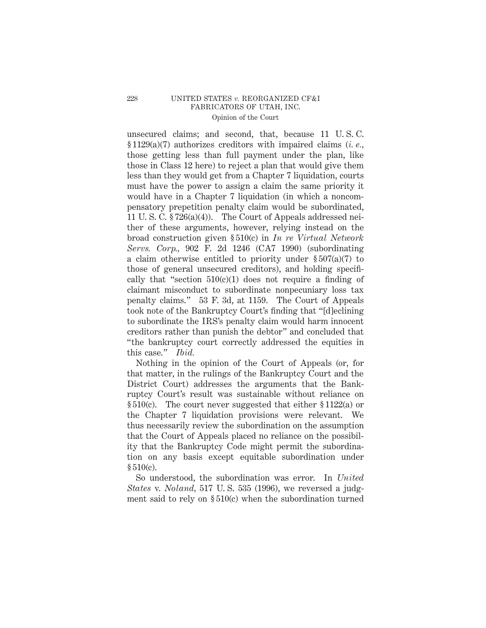unsecured claims; and second, that, because 11 U. S. C. § 1129(a)(7) authorizes creditors with impaired claims (*i. e.,* those getting less than full payment under the plan, like those in Class 12 here) to reject a plan that would give them less than they would get from a Chapter 7 liquidation, courts must have the power to assign a claim the same priority it would have in a Chapter 7 liquidation (in which a noncompensatory prepetition penalty claim would be subordinated, 11 U. S. C. § 726(a)(4)). The Court of Appeals addressed neither of these arguments, however, relying instead on the broad construction given § 510(c) in *In re Virtual Network Servs. Corp.,* 902 F. 2d 1246 (CA7 1990) (subordinating a claim otherwise entitled to priority under  $\S 507(a)(7)$  to those of general unsecured creditors), and holding specifically that "section  $510(c)(1)$  does not require a finding of claimant misconduct to subordinate nonpecuniary loss tax penalty claims." 53 F. 3d, at 1159. The Court of Appeals took note of the Bankruptcy Court's finding that "[d]eclining to subordinate the IRS's penalty claim would harm innocent creditors rather than punish the debtor" and concluded that "the bankruptcy court correctly addressed the equities in this case." *Ibid.*

Nothing in the opinion of the Court of Appeals (or, for that matter, in the rulings of the Bankruptcy Court and the District Court) addresses the arguments that the Bankruptcy Court's result was sustainable without reliance on § 510(c). The court never suggested that either § 1122(a) or the Chapter 7 liquidation provisions were relevant. We thus necessarily review the subordination on the assumption that the Court of Appeals placed no reliance on the possibility that the Bankruptcy Code might permit the subordination on any basis except equitable subordination under § 510(c).

So understood, the subordination was error. In *United States* v. *Noland,* 517 U. S. 535 (1996), we reversed a judgment said to rely on § 510(c) when the subordination turned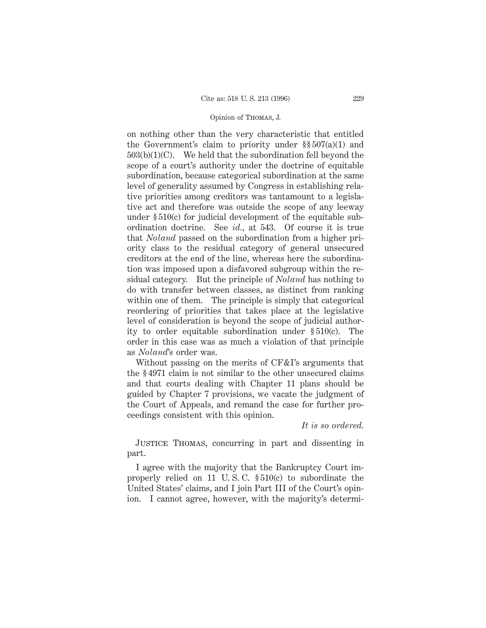#### Opinion of Thomas, J.

on nothing other than the very characteristic that entitled the Government's claim to priority under §§ 507(a)(1) and  $503(b)(1)(C)$ . We held that the subordination fell beyond the scope of a court's authority under the doctrine of equitable subordination, because categorical subordination at the same level of generality assumed by Congress in establishing relative priorities among creditors was tantamount to a legislative act and therefore was outside the scope of any leeway under § 510(c) for judicial development of the equitable subordination doctrine. See *id.,* at 543. Of course it is true that *Noland* passed on the subordination from a higher priority class to the residual category of general unsecured creditors at the end of the line, whereas here the subordination was imposed upon a disfavored subgroup within the residual category. But the principle of *Noland* has nothing to do with transfer between classes, as distinct from ranking within one of them. The principle is simply that categorical reordering of priorities that takes place at the legislative level of consideration is beyond the scope of judicial authority to order equitable subordination under § 510(c). The order in this case was as much a violation of that principle as *Noland*'s order was.

Without passing on the merits of CF&I's arguments that the § 4971 claim is not similar to the other unsecured claims and that courts dealing with Chapter 11 plans should be guided by Chapter 7 provisions, we vacate the judgment of the Court of Appeals, and remand the case for further proceedings consistent with this opinion.

*It is so ordered.*

Justice Thomas, concurring in part and dissenting in part.

I agree with the majority that the Bankruptcy Court improperly relied on 11 U. S. C. § 510(c) to subordinate the United States' claims, and I join Part III of the Court's opinion. I cannot agree, however, with the majority's determi-